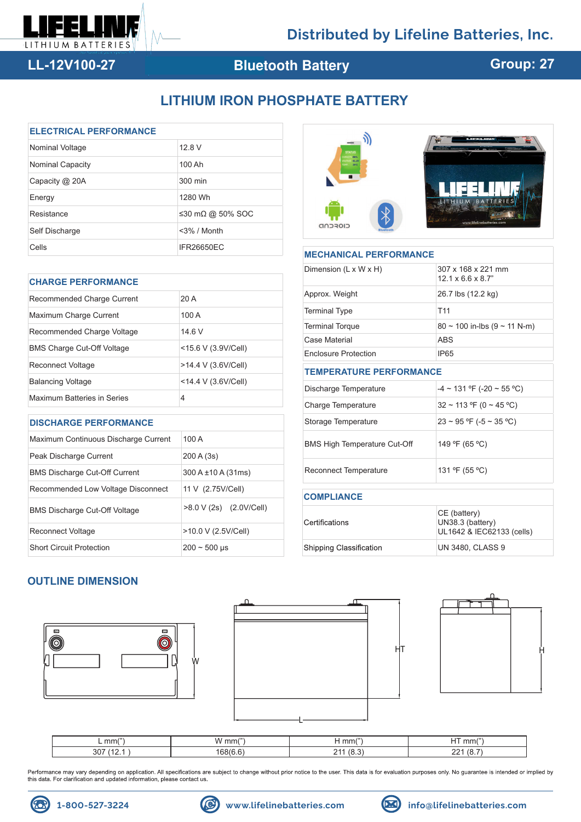

# **LL-12V100-27**

# **Bluetooth Battery**

# **Group: 27**

# **LITHIUM IRON PHOSPHATE BATTERY**

| <b>ELECTRICAL PERFORMANCE</b> |                   |  |  |  |
|-------------------------------|-------------------|--|--|--|
| Nominal Voltage               | 12.8 V            |  |  |  |
| <b>Nominal Capacity</b>       | 100 Ah            |  |  |  |
| Capacity @ 20A                | 300 min           |  |  |  |
| Energy                        | 1280 Wh           |  |  |  |
| Resistance                    | ≤30 mΩ @ 50% SOC  |  |  |  |
| Self Discharge                | $<$ 3% / Month    |  |  |  |
| Cells                         | <b>IFR26650EC</b> |  |  |  |

| <b>CHARGE PERFORMANCE</b>         |                     |  |  |  |
|-----------------------------------|---------------------|--|--|--|
| Recommended Charge Current        | 20A                 |  |  |  |
| Maximum Charge Current            | 100 A               |  |  |  |
| Recommended Charge Voltage        | 14.6 V              |  |  |  |
| <b>BMS Charge Cut-Off Voltage</b> | <15.6 V (3.9V/Cell) |  |  |  |
| Reconnect Voltage                 | >14.4 V (3.6V/Cell) |  |  |  |
| <b>Balancing Voltage</b>          | <14.4 V (3.6V/Cell) |  |  |  |
| Maximum Batteries in Series       | 4                   |  |  |  |

### **DISCHARGE PERFORMANCE**

| Maximum Continuous Discharge Current | 100A                     |  |
|--------------------------------------|--------------------------|--|
| Peak Discharge Current               | 200 A (3s)               |  |
| <b>BMS Discharge Cut-Off Current</b> | $300 A \pm 10 A (31 ms)$ |  |
| Recommended Low Voltage Disconnect   | 11 V (2.75V/Cell)        |  |
| <b>BMS Discharge Cut-Off Voltage</b> | >8.0 V (2s) (2.0V/Cell)  |  |
| Reconnect Voltage                    | >10.0 V (2.5V/Cell)      |  |
| <b>Short Circuit Protection</b>      | $200 - 500$ µs           |  |



| <b>MECHANICAL PERFORMANCE</b>       |                                                                                               |  |  |  |  |
|-------------------------------------|-----------------------------------------------------------------------------------------------|--|--|--|--|
| Dimension (L x W x H)               | 307 x 168 x 221 mm<br>$12.1 \times 6.6 \times 8.7$ "                                          |  |  |  |  |
| Approx. Weight                      | 26.7 lbs (12.2 kg)<br>T <sub>11</sub><br>$80 \sim 100$ in-lbs (9 $\sim 11$ N-m)<br><b>ABS</b> |  |  |  |  |
| <b>Terminal Type</b>                |                                                                                               |  |  |  |  |
| <b>Terminal Torque</b>              |                                                                                               |  |  |  |  |
| Case Material                       |                                                                                               |  |  |  |  |
| <b>Enclosure Protection</b>         | <b>IP65</b>                                                                                   |  |  |  |  |
| <b>TEMPERATURE PERFORMANCE</b>      |                                                                                               |  |  |  |  |
| Discharge Temperature               | $-4 \sim 131$ °F (-20 ~ 55 °C)                                                                |  |  |  |  |
| Charge Temperature                  | $32 \sim 113$ °F (0 ~ 45 °C)                                                                  |  |  |  |  |
| Storage Temperature                 | $23 \sim 95$ °F (-5 ~ 35 °C)                                                                  |  |  |  |  |
| <b>BMS High Temperature Cut-Off</b> | 149 °F (65 °C)                                                                                |  |  |  |  |
| <b>Reconnect Temperature</b>        | 131 °F (55 °C)                                                                                |  |  |  |  |
| <b>COMPLIANCE</b>                   |                                                                                               |  |  |  |  |
| Certifications                      | CE (battery)<br>UN38.3 (battery)<br>UL1642 & IEC62133 (cells)                                 |  |  |  |  |

## **OUTLINE DIMENSION**





Shipping Classification



UN 3480, CLASS 9

| $\mathsf{L} \mathsf{mm}(n)$ | $\overline{1}$<br>mm( | mm(           | (11)<br>$\sim$ $\sim$<br>mm( |
|-----------------------------|-----------------------|---------------|------------------------------|
| 307<br>.                    | AR/6<br>-             | $\sim$<br>ີາາ | ີ<br>∼<br>J.                 |

Performance may vary depending on application. All specifications are subject to change without prior notice to the user. This data is for evaluation purposes only. No guarantee is intended or implied by this data. For cla